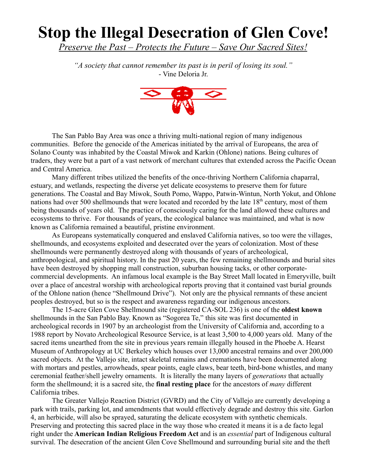## **Stop the Illegal Desecration of Glen Cove!**

*Preserve the Past – Protects the Future – Save Our Sacred Sites!*

*"A society that cannot remember its past is in peril of losing its soul."* - Vine Deloria Jr.



The San Pablo Bay Area was once a thriving multi-national region of many indigenous communities. Before the genocide of the Americas initiated by the arrival of Europeans, the area of Solano County was inhabited by the Coastal Miwok and Karkin (Ohlone) nations. Being cultures of traders, they were but a part of a vast network of merchant cultures that extended across the Pacific Ocean and Central America.

Many different tribes utilized the benefits of the once-thriving Northern California chaparral, estuary, and wetlands, respecting the diverse yet delicate ecosystems to preserve them for future generations. The Coastal and Bay Miwok, South Pomo, Wappo, Patwin-Wintun, North Yokut, and Ohlone nations had over 500 shellmounds that were located and recorded by the late 18<sup>th</sup> century, most of them being thousands of years old. The practice of consciously caring for the land allowed these cultures and ecosystems to thrive. For thousands of years, the ecological balance was maintained, and what is now known as California remained a beautiful, pristine environment.

As Europeans systematically conquered and enslaved California natives, so too were the villages, shellmounds, and ecosystems exploited and desecrated over the years of colonization. Most of these shellmounds were permanently destroyed along with thousands of years of archeological, anthropological, and spiritual history. In the past 20 years, the few remaining shellmounds and burial sites have been destroyed by shopping mall construction, suburban housing tacks, or other corporatecommercial developments. An infamous local example is the Bay Street Mall located in Emeryville, built over a place of ancestral worship with archeological reports proving that it contained vast burial grounds of the Ohlone nation (hence "Shellmound Drive"). Not only are the physical remnants of these ancient peoples destroyed, but so is the respect and awareness regarding our indigenous ancestors.

The 15-acre Glen Cove Shellmound site (registered CA-SOL 236) is one of the **oldest known** shellmounds in the San Pablo Bay. Known as "Sogorea Te," this site was first documented in archeological records in 1907 by an archeologist from the University of California and, according to a 1988 report by Novato Archeological Resource Service, is at least 3,500 to 4,000 years old. Many of the sacred items unearthed from the site in previous years remain illegally housed in the Phoebe A. Hearst Museum of Anthropology at UC Berkeley which houses over 13,000 ancestral remains and over 200,000 sacred objects. At the Vallejo site, intact skeletal remains and cremations have been documented along with mortars and pestles, arrowheads, spear points, eagle claws, bear teeth, bird-bone whistles, and many ceremonial feather/shell jewelry ornaments. It is literally the many layers of *generations* that actually form the shellmound; it is a sacred site, the **final resting place** for the ancestors of *many* different California tribes.

The Greater Vallejo Reaction District (GVRD) and the City of Vallejo are currently developing a park with trails, parking lot, and amendments that would effectively degrade and destroy this site. Garlon 4, an herbicide, will also be sprayed, saturating the delicate ecosystem with synthetic chemicals. Preserving and protecting this sacred place in the way those who created it means it is a de facto legal right under the **American Indian Religious Freedom Act** and is an *essential* part of Indigenous cultural survival. The desecration of the ancient Glen Cove Shellmound and surrounding burial site and the theft